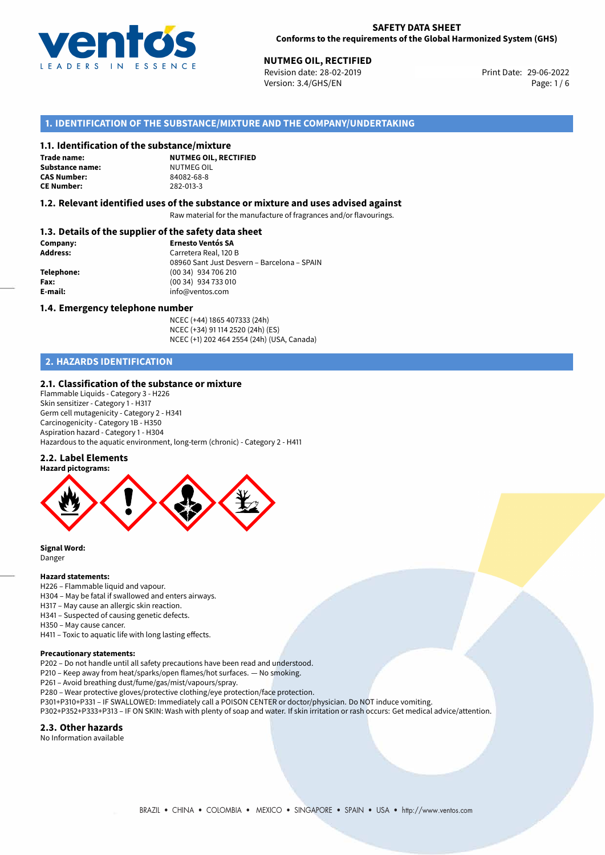

# **NUTMEG OIL, RECTIFIED**<br>
Revision date: 28-02-2019<br> **Print Date: 29-06-2022**

Revision date: 28-02-2019 Version: 3.4/GHS/EN Page: 1 / 6

## **1. IDENTIFICATION OF THE SUBSTANCE/MIXTURE AND THE COMPANY/UNDERTAKING**

#### **1.1. Identification of the substance/mixture**

**Trade name: Substance name:** NUTMEG OIL<br> **CAS Number:** 84082-68-8 **CAS Number: CE Number:** 282-013-3

**NUTMEG OIL, RECTIFIED**

#### **1.2. Relevant identified uses of the substance or mixture and uses advised against**

Raw material for the manufacture of fragrances and/or flavourings.

#### **1.3. Details of the supplier of the safety data sheet**

| Company:        | <b>Ernesto Ventós SA</b>                    |
|-----------------|---------------------------------------------|
| <b>Address:</b> | Carretera Real, 120 B                       |
|                 | 08960 Sant Just Desvern - Barcelona - SPAIN |
| Telephone:      | (00 34) 934 706 210                         |
| Fax:            | (00 34) 934 733 010                         |
| E-mail:         | info@ventos.com                             |
|                 |                                             |

#### **1.4. Emergency telephone number**

NCEC (+44) 1865 407333 (24h) NCEC (+34) 91 114 2520 (24h) (ES) NCEC (+1) 202 464 2554 (24h) (USA, Canada)

# **2. HAZARDS IDENTIFICATION**

#### **2.1. Classification of the substance or mixture**

Flammable Liquids - Category 3 - H226 Skin sensitizer - Category 1 - H317 Germ cell mutagenicity - Category 2 - H341 Carcinogenicity - Category 1B - H350 Aspiration hazard - Category 1 - H304 Hazardous to the aquatic environment, long-term (chronic) - Category 2 - H411

#### **2.2. Label Elements**



**Signal Word:** Danger

#### **Hazard statements:**

- H226 Flammable liquid and vapour.
- H304 May be fatal if swallowed and enters airways.
- H317 May cause an allergic skin reaction.
- H341 Suspected of causing genetic defects.
- H350 May cause cancer.

H411 – Toxic to aquatic life with long lasting effects.

#### **Precautionary statements:**

P202 – Do not handle until all safety precautions have been read and understood.

P210 – Keep away from heat/sparks/open flames/hot surfaces. — No smoking.

P261 – Avoid breathing dust/fume/gas/mist/vapours/spray.

- P280 Wear protective gloves/protective clothing/eye protection/face protection.
- P301+P310+P331 IF SWALLOWED: Immediately call a POISON CENTER or doctor/physician. Do NOT induce vomiting.
- P302+P352+P333+P313 IF ON SKIN: Wash with plenty of soap and water. If skin irritation or rash occurs: Get medical advice/attention.

#### **2.3. Other hazards**

No Information available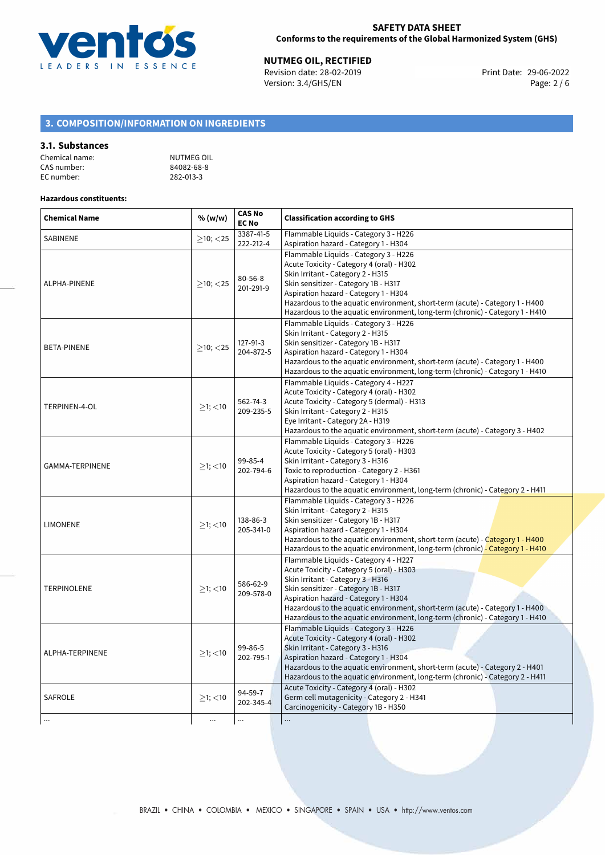

**NUTMEG OIL, RECTIFIED**<br>
Revision date: 28-02-2019 **Print Date: 29-06-2022** Version: 3.4/GHS/EN Page: 2 / 6

# **3. COMPOSITION/INFORMATION ON INGREDIENTS**

#### **3.1. Substances**

| Chemical name: | NUTMEG OIL |
|----------------|------------|
| CAS number:    | 84082-68-8 |
| EC number:     | 282-013-3  |

#### **Hazardous constituents:**

| <b>Chemical Name</b> | % (w/w)        | <b>CAS No</b><br><b>EC No</b> | <b>Classification according to GHS</b>                                                                                                                                                                                                                                                                                                                                    |  |  |
|----------------------|----------------|-------------------------------|---------------------------------------------------------------------------------------------------------------------------------------------------------------------------------------------------------------------------------------------------------------------------------------------------------------------------------------------------------------------------|--|--|
| <b>SABINENE</b>      | $\geq$ 10; <25 | 3387-41-5<br>222-212-4        | Flammable Liquids - Category 3 - H226<br>Aspiration hazard - Category 1 - H304                                                                                                                                                                                                                                                                                            |  |  |
| ALPHA-PINENE         | $\geq$ 10; <25 | $80 - 56 - 8$<br>201-291-9    | Flammable Liquids - Category 3 - H226<br>Acute Toxicity - Category 4 (oral) - H302<br>Skin Irritant - Category 2 - H315<br>Skin sensitizer - Category 1B - H317<br>Aspiration hazard - Category 1 - H304<br>Hazardous to the aquatic environment, short-term (acute) - Category 1 - H400<br>Hazardous to the aquatic environment, long-term (chronic) - Category 1 - H410 |  |  |
| <b>BETA-PINENE</b>   | $\geq$ 10; <25 | 127-91-3<br>204-872-5         | Flammable Liquids - Category 3 - H226<br>Skin Irritant - Category 2 - H315<br>Skin sensitizer - Category 1B - H317<br>Aspiration hazard - Category 1 - H304<br>Hazardous to the aquatic environment, short-term (acute) - Category 1 - H400<br>Hazardous to the aquatic environment, long-term (chronic) - Category 1 - H410                                              |  |  |
| TERPINEN-4-OL        | $>1$ ; $<$ 10  | 562-74-3<br>209-235-5         | Flammable Liquids - Category 4 - H227<br>Acute Toxicity - Category 4 (oral) - H302<br>Acute Toxicity - Category 5 (dermal) - H313<br>Skin Irritant - Category 2 - H315<br>Eye Irritant - Category 2A - H319<br>Hazardous to the aquatic environment, short-term (acute) - Category 3 - H402                                                                               |  |  |
| GAMMA-TERPINENE      | $>1$ ; <10     | 99-85-4<br>202-794-6          | Flammable Liquids - Category 3 - H226<br>Acute Toxicity - Category 5 (oral) - H303<br>Skin Irritant - Category 3 - H316<br>Toxic to reproduction - Category 2 - H361<br>Aspiration hazard - Category 1 - H304<br>Hazardous to the aquatic environment, long-term (chronic) - Category 2 - H411                                                                            |  |  |
| <b>LIMONENE</b>      | $>1$ ; $<$ 10  | 138-86-3<br>205-341-0         | Flammable Liquids - Category 3 - H226<br>Skin Irritant - Category 2 - H315<br>Skin sensitizer - Category 1B - H317<br>Aspiration hazard - Category 1 - H304<br>Hazardous to the aquatic environment, short-term (acute) - Category 1 - H400<br>Hazardous to the aquatic environment, long-term (chronic) - Category 1 - H410                                              |  |  |
| <b>TERPINOLENE</b>   | $>1$ ; <10     | 586-62-9<br>209-578-0         | Flammable Liquids - Category 4 - H227<br>Acute Toxicity - Category 5 (oral) - H303<br>Skin Irritant - Category 3 - H316<br>Skin sensitizer - Category 1B - H317<br>Aspiration hazard - Category 1 - H304<br>Hazardous to the aquatic environment, short-term (acute) - Category 1 - H400<br>Hazardous to the aquatic environment, long-term (chronic) - Category 1 - H410 |  |  |
| ALPHA-TERPINENE      | $>1$ ; <10     | 99-86-5<br>202-795-1          | Flammable Liquids - Category 3 - H226<br>Acute Toxicity - Category 4 (oral) - H302<br>Skin Irritant - Category 3 - H316<br>Aspiration hazard - Category 1 - H304<br>Hazardous to the aquatic environment, short-term (acute) - Category 2 - H401<br>Hazardous to the aquatic environment, long-term (chronic) - Category 2 - H411                                         |  |  |
| <b>SAFROLE</b>       | $>1$ ; $<$ 10  | 94-59-7<br>202-345-4          | Acute Toxicity - Category 4 (oral) - H302<br>Germ cell mutagenicity - Category 2 - H341<br>Carcinogenicity - Category 1B - H350                                                                                                                                                                                                                                           |  |  |
| $\ldots$             | $\cdots$       |                               |                                                                                                                                                                                                                                                                                                                                                                           |  |  |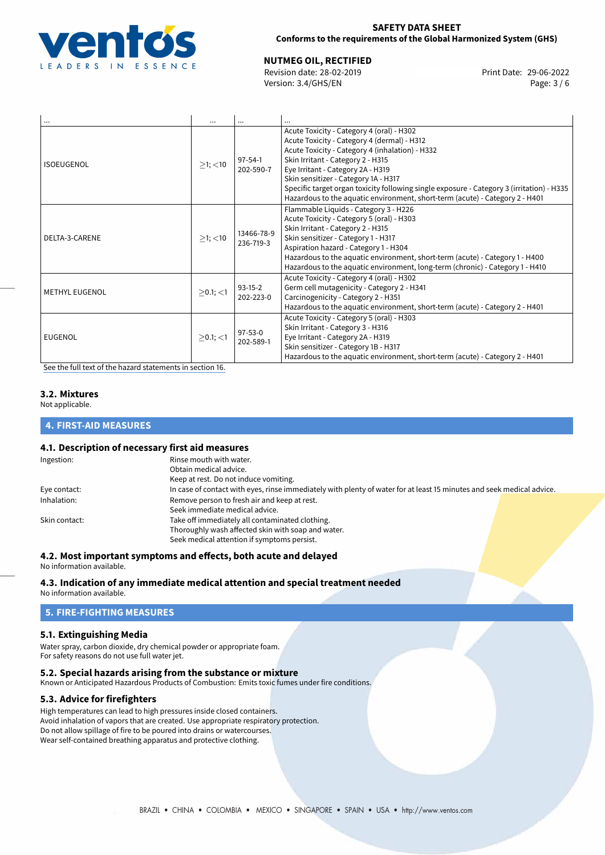

### **SAFETY DATA SHEET Conforms to the requirements of the Global Harmonized System (GHS)**

**NUTMEG OIL, RECTIFIED**<br>
Revision date: 28-02-2019 **Print Date: 29-06-2022** 

Version: 3.4/GHS/EN Page: 3 / 6

| $\cdots$       | $\cdots$       | $\cdots$                   | $\cdots$                                                                                                                                                                                                                                                                                                                                                                                                                                   |
|----------------|----------------|----------------------------|--------------------------------------------------------------------------------------------------------------------------------------------------------------------------------------------------------------------------------------------------------------------------------------------------------------------------------------------------------------------------------------------------------------------------------------------|
| ISOEUGENOL     | $>1$ ; $<$ 10  | $97 - 54 - 1$<br>202-590-7 | Acute Toxicity - Category 4 (oral) - H302<br>Acute Toxicity - Category 4 (dermal) - H312<br>Acute Toxicity - Category 4 (inhalation) - H332<br>Skin Irritant - Category 2 - H315<br>Eye Irritant - Category 2A - H319<br>Skin sensitizer - Category 1A - H317<br>Specific target organ toxicity following single exposure - Category 3 (irritation) - H335<br>Hazardous to the aquatic environment, short-term (acute) - Category 2 - H401 |
| DELTA-3-CARENE | $>1$ ; $<$ 10  | 13466-78-9<br>236-719-3    | Flammable Liquids - Category 3 - H226<br>Acute Toxicity - Category 5 (oral) - H303<br>Skin Irritant - Category 2 - H315<br>Skin sensitizer - Category 1 - H317<br>Aspiration hazard - Category 1 - H304<br>Hazardous to the aquatic environment, short-term (acute) - Category 1 - H400<br>Hazardous to the aquatic environment, long-term (chronic) - Category 1 - H410                                                                   |
| METHYL EUGENOL | $>0.1$ ; $<$ 1 | $93-15-2$<br>202-223-0     | Acute Toxicity - Category 4 (oral) - H302<br>Germ cell mutagenicity - Category 2 - H341<br>Carcinogenicity - Category 2 - H351<br>Hazardous to the aquatic environment, short-term (acute) - Category 2 - H401                                                                                                                                                                                                                             |
| EUGENOL        | $\geq$ 0.1; <1 | $97 - 53 - 0$<br>202-589-1 | Acute Toxicity - Category 5 (oral) - H303<br>Skin Irritant - Category 3 - H316<br>Eye Irritant - Category 2A - H319<br>Skin sensitizer - Category 1B - H317<br>Hazardous to the aquatic environment, short-term (acute) - Category 2 - H401                                                                                                                                                                                                |

[See the full text of the hazard statements in section 16.](#page-5-0)

# **3.2. Mixtures**

Not applicable.

#### **4. FIRST-AID MEASURES**

#### **4.1. Description of necessary first aid measures**

| Ingestion:    | Rinse mouth with water.                                                                                               |
|---------------|-----------------------------------------------------------------------------------------------------------------------|
|               | Obtain medical advice.                                                                                                |
|               | Keep at rest. Do not induce vomiting.                                                                                 |
| Eye contact:  | In case of contact with eyes, rinse immediately with plenty of water for at least 15 minutes and seek medical advice. |
| Inhalation:   | Remove person to fresh air and keep at rest.                                                                          |
|               | Seek immediate medical advice.                                                                                        |
| Skin contact: | Take off immediately all contaminated clothing.                                                                       |
|               | Thoroughly wash affected skin with soap and water.                                                                    |
|               | Seek medical attention if symptoms persist.                                                                           |
|               |                                                                                                                       |

## **4.2. Most important symptoms and effects, both acute and delayed**

No information available.

# **4.3. Indication of any immediate medical attention and special treatment needed**

No information available.

#### **5. FIRE-FIGHTING MEASURES**

#### **5.1. Extinguishing Media**

Water spray, carbon dioxide, dry chemical powder or appropriate foam. For safety reasons do not use full water jet.

#### **5.2. Special hazards arising from the substance or mixture**

Known or Anticipated Hazardous Products of Combustion: Emits toxic fumes under fire conditions.

#### **5.3. Advice for firefighters**

High temperatures can lead to high pressures inside closed containers. Avoid inhalation of vapors that are created. Use appropriate respiratory protection. Do not allow spillage of fire to be poured into drains or watercourses. Wear self-contained breathing apparatus and protective clothing.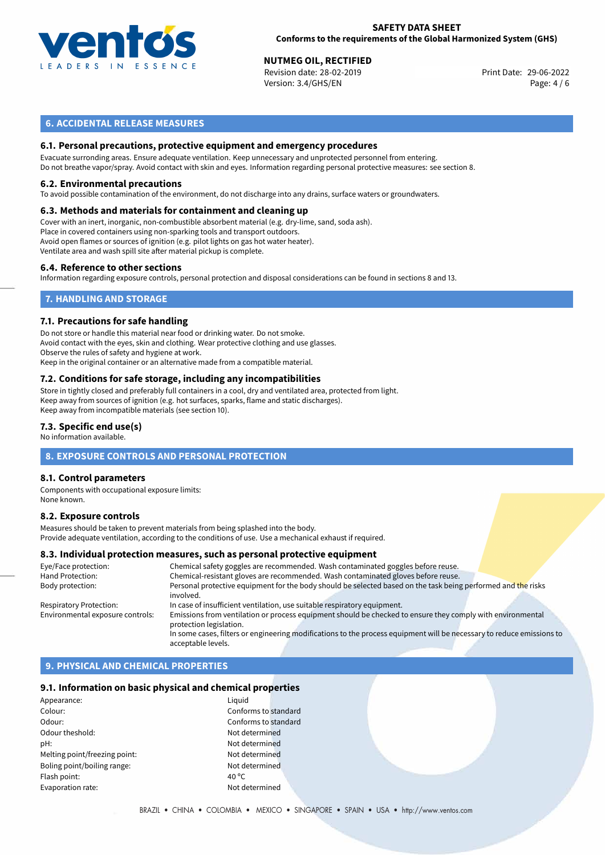

#### **SAFETY DATA SHEET Conforms to the requirements of the Global Harmonized System (GHS)**

**NUTMEG OIL, RECTIFIED**<br>
Revision date: 28-02-2019 **Print Date: 29-06-2022** Version: 3.4/GHS/EN Page: 4 / 6

## **6. ACCIDENTAL RELEASE MEASURES**

#### **6.1. Personal precautions, protective equipment and emergency procedures**

Evacuate surronding areas. Ensure adequate ventilation. Keep unnecessary and unprotected personnel from entering. Do not breathe vapor/spray. Avoid contact with skin and eyes. Information regarding personal protective measures: see section 8.

#### **6.2. Environmental precautions**

To avoid possible contamination of the environment, do not discharge into any drains, surface waters or groundwaters.

#### **6.3. Methods and materials for containment and cleaning up**

Cover with an inert, inorganic, non-combustible absorbent material (e.g. dry-lime, sand, soda ash). Place in covered containers using non-sparking tools and transport outdoors. Avoid open flames or sources of ignition (e.g. pilot lights on gas hot water heater). Ventilate area and wash spill site after material pickup is complete.

#### **6.4. Reference to other sections**

Information regarding exposure controls, personal protection and disposal considerations can be found in sections 8 and 13.

### **7. HANDLING AND STORAGE**

#### **7.1. Precautions for safe handling**

Do not store or handle this material near food or drinking water. Do not smoke. Avoid contact with the eyes, skin and clothing. Wear protective clothing and use glasses. Observe the rules of safety and hygiene at work. Keep in the original container or an alternative made from a compatible material.

# **7.2. Conditions for safe storage, including any incompatibilities**

Store in tightly closed and preferably full containers in a cool, dry and ventilated area, protected from light. Keep away from sources of ignition (e.g. hot surfaces, sparks, flame and static discharges). Keep away from incompatible materials (see section 10).

#### **7.3. Specific end use(s)**

No information available.

#### **8. EXPOSURE CONTROLS AND PERSONAL PROTECTION**

#### **8.1. Control parameters**

Components with occupational exposure limits: None known.

#### **8.2. Exposure controls**

Measures should be taken to prevent materials from being splashed into the body. Provide adequate ventilation, according to the conditions of use. Use a mechanical exhaust if required.

#### **8.3. Individual protection measures, such as personal protective equipment**

| Chemical safety goggles are recommended. Wash contaminated goggles before reuse.                                           |
|----------------------------------------------------------------------------------------------------------------------------|
| Chemical-resistant gloves are recommended. Wash contaminated gloves before reuse.                                          |
| Personal protective equipment for the body should be selected based on the task being performed and the risks<br>involved. |
| In case of insufficient ventilation, use suitable respiratory equipment.                                                   |
|                                                                                                                            |
| Emissions from ventilation or process equipment should be checked to ensure they comply with environmental                 |
| protection legislation.                                                                                                    |
| In some cases, filters or engineering modifications to the process equipment will be necessary to reduce emissions to      |
| acceptable levels.                                                                                                         |
|                                                                                                                            |

# **9. PHYSICAL AND CHEMICAL PROPERTIES**

#### **9.1. Information on basic physical and chemical properties**

| Appearance:                   | Liguid |
|-------------------------------|--------|
| Colour:                       | Confo  |
| Odour:                        | Confo  |
| Odour theshold:               | Not de |
| pH:                           | Not de |
| Melting point/freezing point: | Not de |
| Boling point/boiling range:   | Not de |
| Flash point:                  | 40 °C  |
| Evaporation rate:             | Not de |
|                               |        |

Conforms to standard Conforms to standard Not determined Not determined Not determined Not determined Not determined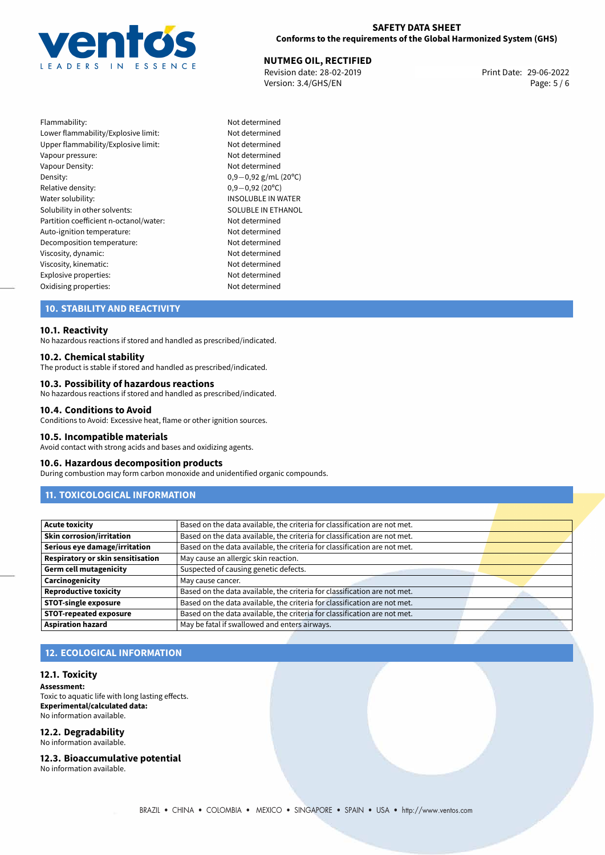

### **SAFETY DATA SHEET Conforms to the requirements of the Global Harmonized System (GHS)**

# **NUTMEG OIL, RECTIFIED**<br>
Revision date: 28-02-2019<br> **Print Date: 29-06-2022**

Revision date: 28-02-2019 Version: 3.4/GHS/EN Page: 5 / 6

| Flammability:                          |
|----------------------------------------|
| Lower flammability/Explosive limit:    |
| Upper flammability/Explosive limit:    |
| Vapour pressure:                       |
| Vapour Density:                        |
| Density:                               |
| Relative density:                      |
| Water solubility:                      |
| Solubility in other solvents:          |
| Partition coefficient n-octanol/water: |
| Auto-ignition temperature:             |
| Decomposition temperature:             |
| Viscosity, dynamic:                    |
| Viscosity, kinematic:                  |
| Explosive properties:                  |
| Ovidising properties:                  |

Not determined Not determined Not determined Not determined Not determined Density: 0,9*−*0,92 g/mL (20ºC) Relative density: 0,9*−*0,92 (20ºC) INSOLUBLE IN WATER SOLUBLE IN ETHANOL Not determined Not determined Not determined Not determined Not determined Not determined Not determined

# **10. STABILITY AND REACTIVITY**

#### **10.1. Reactivity**

No hazardous reactions if stored and handled as prescribed/indicated.

#### **10.2. Chemical stability**

The product is stable if stored and handled as prescribed/indicated.

#### **10.3. Possibility of hazardous reactions**

No hazardous reactions if stored and handled as prescribed/indicated.

#### **10.4. Conditions to Avoid**

Conditions to Avoid: Excessive heat, flame or other ignition sources.

#### **10.5. Incompatible materials**

Avoid contact with strong acids and bases and oxidizing agents.

#### **10.6. Hazardous decomposition products**

During combustion may form carbon monoxide and unidentified organic compounds.

# **11. TOXICOLOGICAL INFORMATION**

| <b>Acute toxicity</b>             | Based on the data available, the criteria for classification are not met. |  |
|-----------------------------------|---------------------------------------------------------------------------|--|
| <b>Skin corrosion/irritation</b>  | Based on the data available, the criteria for classification are not met. |  |
| Serious eye damage/irritation     | Based on the data available, the criteria for classification are not met. |  |
| Respiratory or skin sensitisation | May cause an allergic skin reaction.                                      |  |
| <b>Germ cell mutagenicity</b>     | Suspected of causing genetic defects.                                     |  |
| Carcinogenicity                   | May cause cancer.                                                         |  |
| <b>Reproductive toxicity</b>      | Based on the data available, the criteria for classification are not met. |  |
| <b>STOT-single exposure</b>       | Based on the data available, the criteria for classification are not met. |  |
| <b>STOT-repeated exposure</b>     | Based on the data available, the criteria for classification are not met. |  |
| <b>Aspiration hazard</b>          | May be fatal if swallowed and enters airways.                             |  |

# **12. ECOLOGICAL INFORMATION**

#### **12.1. Toxicity**

**Assessment:** Toxic to aquatic life with long lasting effects. **Experimental/calculated data:** No information available.

# **12.2. Degradability**

No information available.

#### **12.3. Bioaccumulative potential**

No information available.